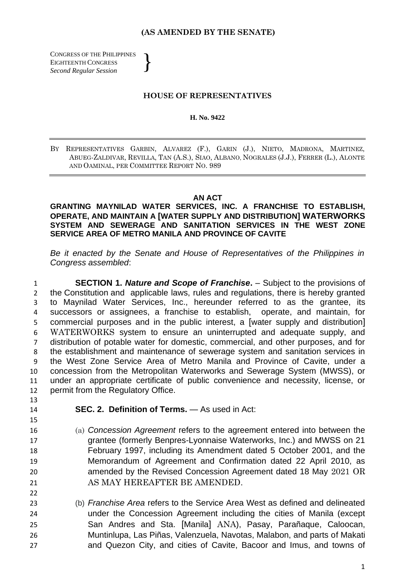CONGRESS OF THE PHILIPPINES EIGHTEENTH CONGRESS *Second Regular Session*

}

## **HOUSE OF REPRESENTATIVES**

## **H. No. 9422**

BY REPRESENTATIVES GARBIN, ALVAREZ (F.), GARIN (J.), NIETO, MADRONA, MARTINEZ, ABUEG-ZALDIVAR, REVILLA, TAN (A.S.), SIAO, ALBANO, NOGRALES (J.J.), FERRER (L.), ALONTE AND OAMINAL, PER COMMITTEE REPORT NO. 989

## **AN ACT**

**GRANTING MAYNILAD WATER SERVICES, INC. A FRANCHISE TO ESTABLISH, OPERATE, AND MAINTAIN A [WATER SUPPLY AND DISTRIBUTION] WATERWORKS SYSTEM AND SEWERAGE AND SANITATION SERVICES IN THE WEST ZONE SERVICE AREA OF METRO MANILA AND PROVINCE OF CAVITE** 

*Be it enacted by the Senate and House of Representatives of the Philippines in Congress assembled*:

 **SECTION 1.** *Nature and Scope of Franchise***.** – Subject to the provisions of the Constitution and applicable laws, rules and regulations, there is hereby granted to Maynilad Water Services, Inc., hereunder referred to as the grantee, its successors or assignees, a franchise to establish, operate, and maintain, for commercial purposes and in the public interest, a [water supply and distribution] WATERWORKS system to ensure an uninterrupted and adequate supply, and distribution of potable water for domestic, commercial, and other purposes, and for the establishment and maintenance of sewerage system and sanitation services in the West Zone Service Area of Metro Manila and Province of Cavite, under a concession from the Metropolitan Waterworks and Sewerage System (MWSS), or under an appropriate certificate of public convenience and necessity, license, or 12 permit from the Regulatory Office.

- 13
- 15

22

14 **SEC. 2. Definition of Terms.** — As used in Act:

- 16 (a) *Concession Agreement* refers to the agreement entered into between the 17 grantee (formerly Benpres-Lyonnaise Waterworks, Inc.) and MWSS on 21 18 February 1997, including its Amendment dated 5 October 2001, and the 19 Memorandum of Agreement and Confirmation dated 22 April 2010, as 20 amended by the Revised Concession Agreement dated 18 May 2021 OR 21 AS MAY HEREAFTER BE AMENDED.
- 23 (b) *Franchise Area* refers to the Service Area West as defined and delineated 24 under the Concession Agreement including the cities of Manila (except 25 San Andres and Sta. [Manila] ANA), Pasay, Parañaque, Caloocan, 26 Muntinlupa, Las Piñas, Valenzuela, Navotas, Malabon, and parts of Makati 27 and Quezon City, and cities of Cavite, Bacoor and Imus, and towns of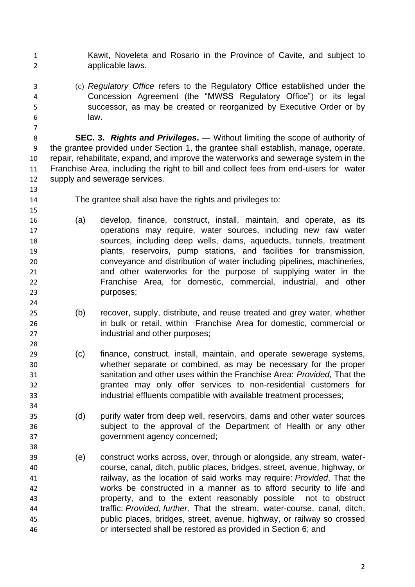- Kawit, Noveleta and Rosario in the Province of Cavite, and subject to applicable laws.
- 
- (c) *Regulatory Office* refers to the Regulatory Office established under the Concession Agreement (the "MWSS Regulatory Office") or its legal successor, as may be created or reorganized by Executive Order or by law.
- **SEC. 3.** *Rights and Privileges***.** — Without limiting the scope of authority of the grantee provided under Section 1, the grantee shall establish, manage, operate, repair, rehabilitate, expand, and improve the waterworks and sewerage system in the Franchise Area, including the right to bill and collect fees from end-users for water supply and sewerage services.
- 

- The grantee shall also have the rights and privileges to:
- (a) develop, finance, construct, install, maintain, and operate, as its operations may require, water sources, including new raw water sources, including deep wells, dams, aqueducts, tunnels, treatment plants, reservoirs, pump stations, and facilities for transmission, conveyance and distribution of water including pipelines, machineries, and other waterworks for the purpose of supplying water in the Franchise Area, for domestic, commercial, industrial, and other purposes;
- (b) recover, supply, distribute, and reuse treated and grey water, whether in bulk or retail, within Franchise Area for domestic, commercial or industrial and other purposes;
- (c) finance, construct, install, maintain, and operate sewerage systems, whether separate or combined, as may be necessary for the proper sanitation and other uses within the Franchise Area: *Provided,* That the grantee may only offer services to non-residential customers for industrial effluents compatible with available treatment processes;
- (d) purify water from deep well, reservoirs, dams and other water sources subject to the approval of the Department of Health or any other government agency concerned;
- (e) construct works across, over, through or alongside, any stream, water- course, canal, ditch, public places, bridges, street, avenue, highway, or railway, as the location of said works may require: *Provided*, That the works be constructed in a manner as to afford security to life and property, and to the extent reasonably possible not to obstruct traffic: *Provided*, *further,* That the stream, water-course, canal, ditch, public places, bridges, street, avenue, highway, or railway so crossed or intersected shall be restored as provided in Section 6; and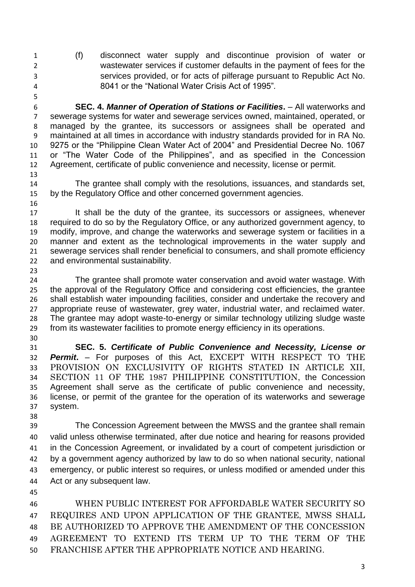(f) disconnect water supply and discontinue provision of water or wastewater services if customer defaults in the payment of fees for the services provided, or for acts of pilferage pursuant to Republic Act No. 8041 or the "National Water Crisis Act of 1995"*.*

 **SEC. 4.** *Manner of Operation of Stations or Facilities***.** – All waterworks and sewerage systems for water and sewerage services owned, maintained, operated, or managed by the grantee, its successors or assignees shall be operated and maintained at all times in accordance with industry standards provided for in RA No. 9275 or the "Philippine Clean Water Act of 2004" and Presidential Decree No. 1067 or "The Water Code of the Philippines", and as specified in the Concession Agreement, certificate of public convenience and necessity, license or permit. 

- The grantee shall comply with the resolutions, issuances, and standards set, by the Regulatory Office and other concerned government agencies.
- 

 It shall be the duty of the grantee, its successors or assignees, whenever required to do so by the Regulatory Office, or any authorized government agency, to modify, improve, and change the waterworks and sewerage system or facilities in a manner and extent as the technological improvements in the water supply and sewerage services shall render beneficial to consumers, and shall promote efficiency and environmental sustainability.

 The grantee shall promote water conservation and avoid water wastage. With the approval of the Regulatory Office and considering cost efficiencies, the grantee shall establish water impounding facilities, consider and undertake the recovery and appropriate reuse of wastewater, grey water, industrial water, and reclaimed water. The grantee may adopt waste-to-energy or similar technology utilizing sludge waste from its wastewater facilities to promote energy efficiency in its operations.

 **SEC. 5.** *Certificate of Public Convenience and Necessity, License or Permit***.** – For purposes of this Act, EXCEPT WITH RESPECT TO THE PROVISION ON EXCLUSIVITY OF RIGHTS STATED IN ARTICLE XII, SECTION 11 OF THE 1987 PHILIPPINE CONSTITUTION, the Concession Agreement shall serve as the certificate of public convenience and necessity, license, or permit of the grantee for the operation of its waterworks and sewerage system. 

 The Concession Agreement between the MWSS and the grantee shall remain valid unless otherwise terminated, after due notice and hearing for reasons provided in the Concession Agreement, or invalidated by a court of competent jurisdiction or by a government agency authorized by law to do so when national security, national emergency, or public interest so requires, or unless modified or amended under this Act or any subsequent law.

 WHEN PUBLIC INTEREST FOR AFFORDABLE WATER SECURITY SO REQUIRES AND UPON APPLICATION OF THE GRANTEE, MWSS SHALL BE AUTHORIZED TO APPROVE THE AMENDMENT OF THE CONCESSION AGREEMENT TO EXTEND ITS TERM UP TO THE TERM OF THE FRANCHISE AFTER THE APPROPRIATE NOTICE AND HEARING.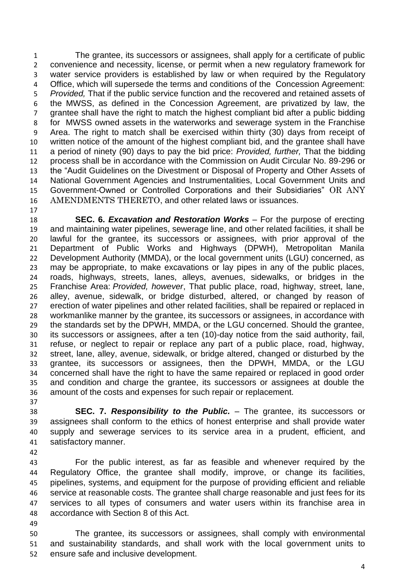The grantee, its successors or assignees, shall apply for a certificate of public convenience and necessity, license, or permit when a new regulatory framework for water service providers is established by law or when required by the Regulatory Office, which will supersede the terms and conditions of the Concession Agreement: *Provided,* That if the public service function and the recovered and retained assets of the MWSS, as defined in the Concession Agreement, are privatized by law, the grantee shall have the right to match the highest compliant bid after a public bidding for MWSS owned assets in the waterworks and sewerage system in the Franchise Area. The right to match shall be exercised within thirty (30) days from receipt of written notice of the amount of the highest compliant bid, and the grantee shall have a period of ninety (90) days to pay the bid price: *Provided, further,* That the bidding process shall be in accordance with the Commission on Audit Circular No. 89-296 or the "Audit Guidelines on the Divestment or Disposal of Property and Other Assets of National Government Agencies and Instrumentalities, Local Government Units and 15 Government-Owned or Controlled Corporations and their Subsidiaries" OR ANY AMENDMENTS THERETO, and other related laws or issuances.

 **SEC. 6.** *Excavation and Restoration Works* – For the purpose of erecting and maintaining water pipelines, sewerage line, and other related facilities, it shall be lawful for the grantee, its successors or assignees, with prior approval of the Department of Public Works and Highways (DPWH), Metropolitan Manila Development Authority (MMDA), or the local government units (LGU) concerned, as may be appropriate, to make excavations or lay pipes in any of the public places, roads, highways, streets, lanes, alleys, avenues, sidewalks, or bridges in the Franchise Area: *Provided, however*, That public place, road, highway, street, lane, alley, avenue, sidewalk, or bridge disturbed, altered, or changed by reason of erection of water pipelines and other related facilities, shall be repaired or replaced in workmanlike manner by the grantee, its successors or assignees, in accordance with the standards set by the DPWH, MMDA, or the LGU concerned. Should the grantee, its successors or assignees, after a ten (10)-day notice from the said authority, fail, refuse, or neglect to repair or replace any part of a public place, road, highway, street, lane, alley, avenue, sidewalk, or bridge altered, changed or disturbed by the grantee, its successors or assignees, then the DPWH, MMDA, or the LGU concerned shall have the right to have the same repaired or replaced in good order and condition and charge the grantee, its successors or assignees at double the amount of the costs and expenses for such repair or replacement.

 **SEC. 7.** *Responsibility to the Public.* – The grantee, its successors or assignees shall conform to the ethics of honest enterprise and shall provide water supply and sewerage services to its service area in a prudent, efficient, and satisfactory manner.

 For the public interest, as far as feasible and whenever required by the Regulatory Office, the grantee shall modify, improve, or change its facilities, pipelines, systems, and equipment for the purpose of providing efficient and reliable service at reasonable costs. The grantee shall charge reasonable and just fees for its services to all types of consumers and water users within its franchise area in accordance with Section 8 of this Act.

 The grantee, its successors or assignees, shall comply with environmental and sustainability standards, and shall work with the local government units to ensure safe and inclusive development.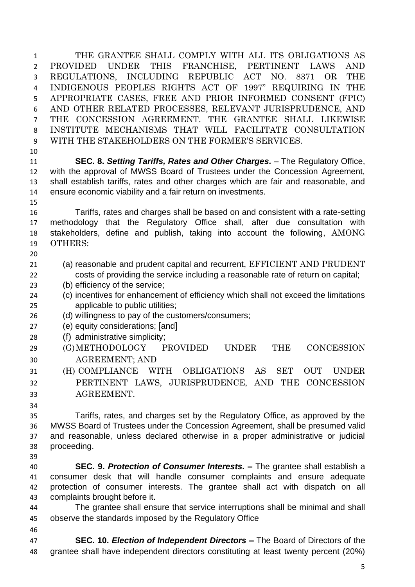THE GRANTEE SHALL COMPLY WITH ALL ITS OBLIGATIONS AS PROVIDED UNDER THIS FRANCHISE, PERTINENT LAWS AND REGULATIONS, INCLUDING REPUBLIC ACT NO. 8371 OR THE INDIGENOUS PEOPLES RIGHTS ACT OF 1997" REQUIRING IN THE APPROPRIATE CASES, FREE AND PRIOR INFORMED CONSENT (FPIC) AND OTHER RELATED PROCESSES, RELEVANT JURISPRUDENCE, AND THE CONCESSION AGREEMENT. THE GRANTEE SHALL LIKEWISE INSTITUTE MECHANISMS THAT WILL FACILITATE CONSULTATION WITH THE STAKEHOLDERS ON THE FORMER'S SERVICES.

 **SEC. 8.** *Setting Tariffs, Rates and Other Charges.* – The Regulatory Office, with the approval of MWSS Board of Trustees under the Concession Agreement, shall establish tariffs, rates and other charges which are fair and reasonable, and ensure economic viability and a fair return on investments.

 Tariffs, rates and charges shall be based on and consistent with a rate-setting methodology that the Regulatory Office shall, after due consultation with stakeholders, define and publish, taking into account the following, AMONG OTHERS:

- (a) reasonable and prudent capital and recurrent, EFFICIENT AND PRUDENT costs of providing the service including a reasonable rate of return on capital;
- (b) efficiency of the service;
- (c) incentives for enhancement of efficiency which shall not exceed the limitations applicable to public utilities;
- (d) willingness to pay of the customers/consumers;
- (e) equity considerations; [and]
- (f) administrative simplicity;
- (G)METHODOLOGY PROVIDED UNDER THE CONCESSION AGREEMENT; AND
- (H) COMPLIANCE WITH OBLIGATIONS AS SET OUT UNDER PERTINENT LAWS, JURISPRUDENCE, AND THE CONCESSION AGREEMENT.
- 

 Tariffs, rates, and charges set by the Regulatory Office, as approved by the MWSS Board of Trustees under the Concession Agreement, shall be presumed valid and reasonable, unless declared otherwise in a proper administrative or judicial proceeding.

 **SEC. 9.** *Protection of Consumer Interests. –* The grantee shall establish a consumer desk that will handle consumer complaints and ensure adequate protection of consumer interests. The grantee shall act with dispatch on all complaints brought before it.

 The grantee shall ensure that service interruptions shall be minimal and shall observe the standards imposed by the Regulatory Office

 **SEC. 10.** *Election of Independent Directors –* The Board of Directors of the grantee shall have independent directors constituting at least twenty percent (20%)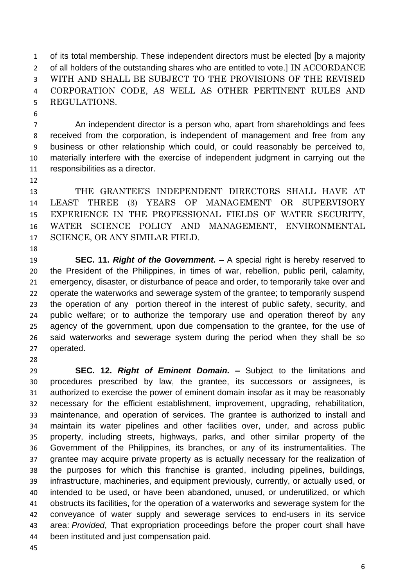of its total membership. These independent directors must be elected [by a majority 2 of all holders of the outstanding shares who are entitled to vote.] IN ACCORDANCE WITH AND SHALL BE SUBJECT TO THE PROVISIONS OF THE REVISED CORPORATION CODE, AS WELL AS OTHER PERTINENT RULES AND REGULATIONS.

 An independent director is a person who, apart from shareholdings and fees received from the corporation, is independent of management and free from any business or other relationship which could, or could reasonably be perceived to, materially interfere with the exercise of independent judgment in carrying out the responsibilities as a director.

 THE GRANTEE'S INDEPENDENT DIRECTORS SHALL HAVE AT LEAST THREE (3) YEARS OF MANAGEMENT OR SUPERVISORY EXPERIENCE IN THE PROFESSIONAL FIELDS OF WATER SECURITY, WATER SCIENCE POLICY AND MANAGEMENT, ENVIRONMENTAL SCIENCE, OR ANY SIMILAR FIELD.

 **SEC. 11.** *Right of the Government. –* A special right is hereby reserved to the President of the Philippines, in times of war, rebellion, public peril, calamity, emergency, disaster, or disturbance of peace and order, to temporarily take over and operate the waterworks and sewerage system of the grantee; to temporarily suspend the operation of any portion thereof in the interest of public safety, security, and public welfare; or to authorize the temporary use and operation thereof by any agency of the government, upon due compensation to the grantee, for the use of said waterworks and sewerage system during the period when they shall be so operated.

 **SEC. 12.** *Right of Eminent Domain. –* Subject to the limitations and procedures prescribed by law, the grantee, its successors or assignees, is authorized to exercise the power of eminent domain insofar as it may be reasonably necessary for the efficient establishment, improvement, upgrading, rehabilitation, maintenance, and operation of services. The grantee is authorized to install and maintain its water pipelines and other facilities over, under, and across public property, including streets, highways, parks, and other similar property of the Government of the Philippines, its branches, or any of its instrumentalities. The grantee may acquire private property as is actually necessary for the realization of the purposes for which this franchise is granted, including pipelines, buildings, infrastructure, machineries, and equipment previously, currently, or actually used, or intended to be used, or have been abandoned, unused, or underutilized, or which obstructs its facilities, for the operation of a waterworks and sewerage system for the conveyance of water supply and sewerage services to end-users in its service area: *Provided*, That expropriation proceedings before the proper court shall have been instituted and just compensation paid*.*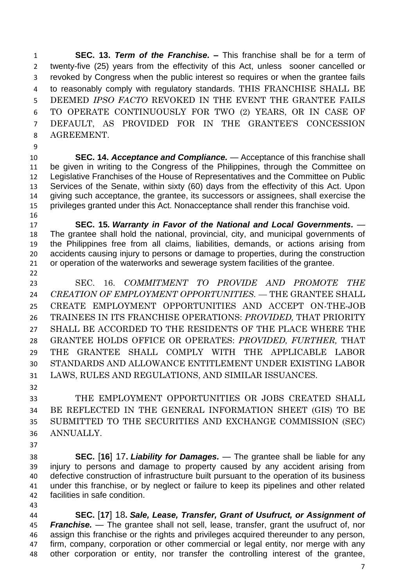**SEC. 13.** *Term of the Franchise. –* This franchise shall be for a term of twenty-five (25) years from the effectivity of this Act, unless sooner cancelled or revoked by Congress when the public interest so requires or when the grantee fails to reasonably comply with regulatory standards. THIS FRANCHISE SHALL BE DEEMED *IPSO FACTO* REVOKED IN THE EVENT THE GRANTEE FAILS TO OPERATE CONTINUOUSLY FOR TWO (2) YEARS, OR IN CASE OF DEFAULT, AS PROVIDED FOR IN THE GRANTEE'S CONCESSION AGREEMENT.

 **SEC. 14.** *Acceptance and Compliance. —* Acceptance of this franchise shall be given in writing to the Congress of the Philippines, through the Committee on Legislative Franchises of the House of Representatives and the Committee on Public Services of the Senate, within sixty (60) days from the effectivity of this Act. Upon giving such acceptance, the grantee, its successors or assignees, shall exercise the privileges granted under this Act. Nonacceptance shall render this franchise void. 

 **SEC. 15***. Warranty in Favor of the National and Local Governments. —* The grantee shall hold the national, provincial, city, and municipal governments of the Philippines free from all claims, liabilities, demands, or actions arising from accidents causing injury to persons or damage to properties, during the construction or operation of the waterworks and sewerage system facilities of the grantee. 

 SEC. 16. *COMMITMENT TO PROVIDE AND PROMOTE THE CREATION OF EMPLOYMENT OPPORTUNITIES. —* THE GRANTEE SHALL CREATE EMPLOYMENT OPPORTUNITIES AND ACCEPT ON-THE-JOB TRAINEES IN ITS FRANCHISE OPERATIONS: *PROVIDED,* THAT PRIORITY SHALL BE ACCORDED TO THE RESIDENTS OF THE PLACE WHERE THE GRANTEE HOLDS OFFICE OR OPERATES: *PROVIDED, FURTHER,* THAT THE GRANTEE SHALL COMPLY WITH THE APPLICABLE LABOR STANDARDS AND ALLOWANCE ENTITLEMENT UNDER EXISTING LABOR LAWS, RULES AND REGULATIONS, AND SIMILAR ISSUANCES.

 THE EMPLOYMENT OPPORTUNITIES OR JOBS CREATED SHALL BE REFLECTED IN THE GENERAL INFORMATION SHEET (GIS) TO BE SUBMITTED TO THE SECURITIES AND EXCHANGE COMMISSION (SEC) ANNUALLY.

 **SEC.** [**16**] 17**.** *Liability for Damages. —* The grantee shall be liable for any injury to persons and damage to property caused by any accident arising from defective construction of infrastructure built pursuant to the operation of its business under this franchise, or by neglect or failure to keep its pipelines and other related facilities in safe condition.

 **SEC.** [**17**] 18**.** *Sale, Lease, Transfer, Grant of Usufruct, or Assignment of Franchise. —* The grantee shall not sell, lease, transfer, grant the usufruct of, nor assign this franchise or the rights and privileges acquired thereunder to any person, firm, company, corporation or other commercial or legal entity, nor merge with any other corporation or entity, nor transfer the controlling interest of the grantee,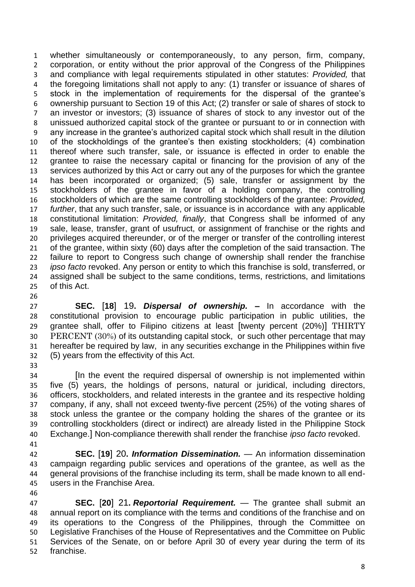whether simultaneously or contemporaneously, to any person, firm, company, corporation, or entity without the prior approval of the Congress of the Philippines and compliance with legal requirements stipulated in other statutes: *Provided,* that the foregoing limitations shall not apply to any: (1) transfer or issuance of shares of stock in the implementation of requirements for the dispersal of the grantee's ownership pursuant to Section 19 of this Act; (2) transfer or sale of shares of stock to an investor or investors; (3) issuance of shares of stock to any investor out of the unissued authorized capital stock of the grantee or pursuant to or in connection with any increase in the grantee's authorized capital stock which shall result in the dilution of the stockholdings of the grantee's then existing stockholders; (4) combination thereof where such transfer, sale, or issuance is effected in order to enable the grantee to raise the necessary capital or financing for the provision of any of the services authorized by this Act or carry out any of the purposes for which the grantee has been incorporated or organized; (5) sale, transfer or assignment by the stockholders of the grantee in favor of a holding company, the controlling stockholders of which are the same controlling stockholders of the grantee: *Provided, further*, that any such transfer, sale, or issuance is in accordance with any applicable constitutional limitation: *Provided, finally*, that Congress shall be informed of any sale, lease, transfer, grant of usufruct, or assignment of franchise or the rights and privileges acquired thereunder, or of the merger or transfer of the controlling interest of the grantee, within sixty (60) days after the completion of the said transaction. The failure to report to Congress such change of ownership shall render the franchise *ipso facto* revoked. Any person or entity to which this franchise is sold, transferred, or assigned shall be subject to the same conditions, terms, restrictions, and limitations of this Act.

 **SEC.** [**18**] 19**.** *Dispersal of ownership. –* In accordance with the constitutional provision to encourage public participation in public utilities, the grantee shall, offer to Filipino citizens at least [twenty percent (20%)] THIRTY PERCENT (30%) of its outstanding capital stock, or such other percentage that may hereafter be required by law, in any securities exchange in the Philippines within five (5) years from the effectivity of this Act.

 [In the event the required dispersal of ownership is not implemented within five (5) years, the holdings of persons, natural or juridical, including directors, officers, stockholders, and related interests in the grantee and its respective holding company, if any, shall not exceed twenty-five percent (25%) of the voting shares of stock unless the grantee or the company holding the shares of the grantee or its controlling stockholders (direct or indirect) are already listed in the Philippine Stock Exchange.] Non-compliance therewith shall render the franchise *ipso facto* revoked.

 **SEC.** [**19**] 20**.** *Information Dissemination. —* An information dissemination campaign regarding public services and operations of the grantee, as well as the general provisions of the franchise including its term, shall be made known to all end-users in the Franchise Area.

 **SEC.** [**20**] 21**.** *Reportorial Requirement. —* The grantee shall submit an annual report on its compliance with the terms and conditions of the franchise and on its operations to the Congress of the Philippines, through the Committee on Legislative Franchises of the House of Representatives and the Committee on Public Services of the Senate, on or before April 30 of every year during the term of its franchise.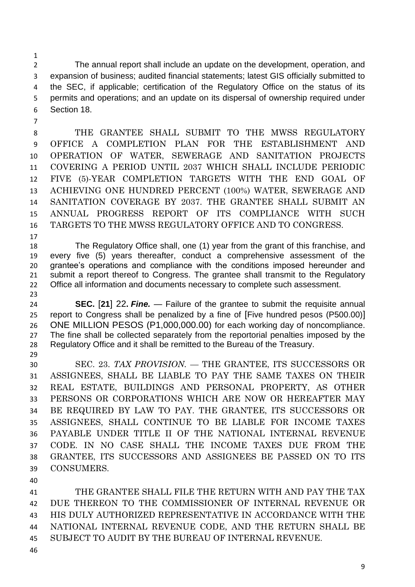The annual report shall include an update on the development, operation, and expansion of business; audited financial statements; latest GIS officially submitted to the SEC, if applicable; certification of the Regulatory Office on the status of its permits and operations; and an update on its dispersal of ownership required under Section 18.

 THE GRANTEE SHALL SUBMIT TO THE MWSS REGULATORY OFFICE A COMPLETION PLAN FOR THE ESTABLISHMENT AND OPERATION OF WATER, SEWERAGE AND SANITATION PROJECTS COVERING A PERIOD UNTIL 2037 WHICH SHALL INCLUDE PERIODIC FIVE (5)-YEAR COMPLETION TARGETS WITH THE END GOAL OF ACHIEVING ONE HUNDRED PERCENT (100%) WATER, SEWERAGE AND SANITATION COVERAGE BY 2037. THE GRANTEE SHALL SUBMIT AN ANNUAL PROGRESS REPORT OF ITS COMPLIANCE WITH SUCH TARGETS TO THE MWSS REGULATORY OFFICE AND TO CONGRESS.

 The Regulatory Office shall, one (1) year from the grant of this franchise, and every five (5) years thereafter, conduct a comprehensive assessment of the grantee's operations and compliance with the conditions imposed hereunder and 21 submit a report thereof to Congress. The grantee shall transmit to the Regulatory 22 Office all information and documents necessary to complete such assessment. 

 **SEC.** [**21**] 22**.** *Fine. —* Failure of the grantee to submit the requisite annual report to Congress shall be penalized by a fine of [Five hundred pesos (P500.00)] ONE MILLION PESOS (P1,000,000.00) for each working day of noncompliance. 27 The fine shall be collected separately from the reportorial penalties imposed by the Regulatory Office and it shall be remitted to the Bureau of the Treasury. 

 SEC. 23. *TAX PROVISION. —* THE GRANTEE, ITS SUCCESSORS OR ASSIGNEES, SHALL BE LIABLE TO PAY THE SAME TAXES ON THEIR REAL ESTATE, BUILDINGS AND PERSONAL PROPERTY, AS OTHER PERSONS OR CORPORATIONS WHICH ARE NOW OR HEREAFTER MAY BE REQUIRED BY LAW TO PAY. THE GRANTEE, ITS SUCCESSORS OR ASSIGNEES, SHALL CONTINUE TO BE LIABLE FOR INCOME TAXES PAYABLE UNDER TITLE II OF THE NATIONAL INTERNAL REVENUE CODE. IN NO CASE SHALL THE INCOME TAXES DUE FROM THE GRANTEE, ITS SUCCESSORS AND ASSIGNEES BE PASSED ON TO ITS CONSUMERS.

 THE GRANTEE SHALL FILE THE RETURN WITH AND PAY THE TAX DUE THEREON TO THE COMMISSIONER OF INTERNAL REVENUE OR HIS DULY AUTHORIZED REPRESENTATIVE IN ACCORDANCE WITH THE NATIONAL INTERNAL REVENUE CODE, AND THE RETURN SHALL BE SUBJECT TO AUDIT BY THE BUREAU OF INTERNAL REVENUE.